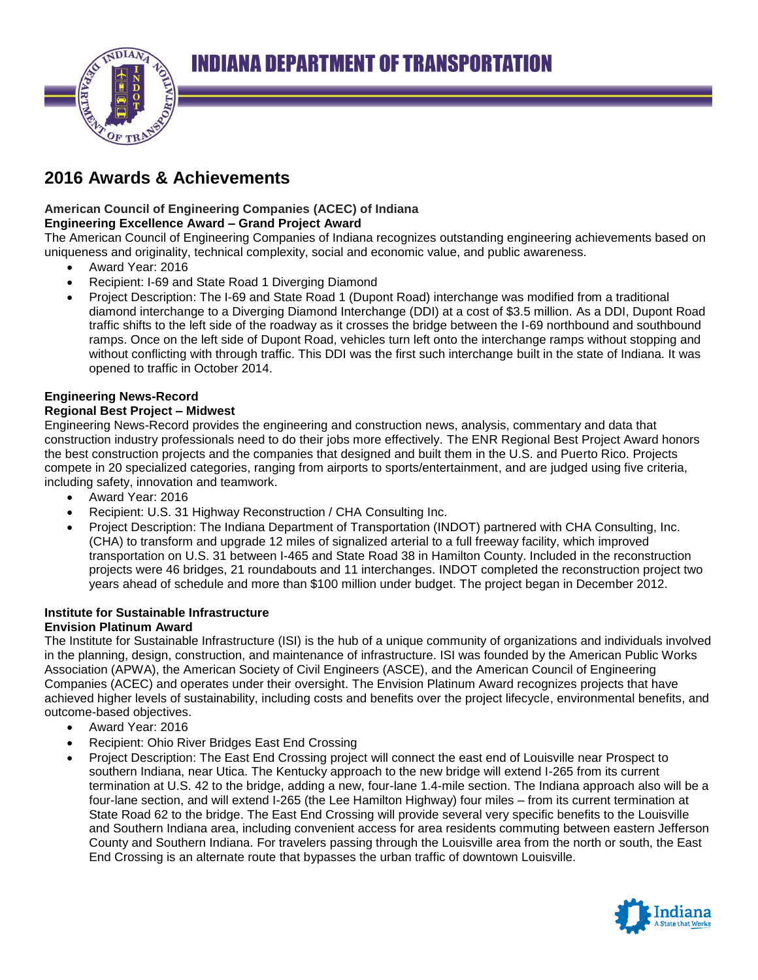

# **2016 Awards & Achievements**

### **American Council of Engineering Companies (ACEC) of Indiana Engineering Excellence Award – Grand Project Award**

The American Council of Engineering Companies of Indiana recognizes outstanding engineering achievements based on uniqueness and originality, technical complexity, social and economic value, and public awareness.

- Award Year: 2016
- Recipient: I-69 and State Road 1 Diverging Diamond
- Project Description: The I-69 and State Road 1 (Dupont Road) interchange was modified from a traditional diamond interchange to a Diverging Diamond Interchange (DDI) at a cost of \$3.5 million. As a DDI, Dupont Road traffic shifts to the left side of the roadway as it crosses the bridge between the I-69 northbound and southbound ramps. Once on the left side of Dupont Road, vehicles turn left onto the interchange ramps without stopping and without conflicting with through traffic. This DDI was the first such interchange built in the state of Indiana. It was opened to traffic in October 2014.

## **Engineering News-Record**

## **Regional Best Project – Midwest**

Engineering News-Record provides the engineering and construction news, analysis, commentary and data that construction industry professionals need to do their jobs more effectively. The ENR Regional Best Project Award honors the best construction projects and the companies that designed and built them in the U.S. and Puerto Rico. Projects compete in 20 specialized categories, ranging from airports to sports/entertainment, and are judged using five criteria, including safety, innovation and teamwork.

- Award Year: 2016
- Recipient: U.S. 31 Highway Reconstruction / CHA Consulting Inc.
- Project Description: The Indiana Department of Transportation (INDOT) partnered with CHA Consulting, Inc. (CHA) to transform and upgrade 12 miles of signalized arterial to a full freeway facility, which improved transportation on U.S. 31 between I-465 and State Road 38 in Hamilton County. Included in the reconstruction projects were 46 bridges, 21 roundabouts and 11 interchanges. INDOT completed the reconstruction project two years ahead of schedule and more than \$100 million under budget. The project began in December 2012.

# **Institute for Sustainable Infrastructure**

# **Envision Platinum Award**

The Institute for Sustainable Infrastructure (ISI) is the hub of a unique community of organizations and individuals involved in the planning, design, construction, and maintenance of infrastructure. ISI was founded by the American Public Works Association (APWA), the American Society of Civil Engineers (ASCE), and the American Council of Engineering Companies (ACEC) and operates under their oversight. The Envision Platinum Award recognizes projects that have achieved higher levels of sustainability, including costs and benefits over the project lifecycle, environmental benefits, and outcome-based objectives.

- Award Year: 2016
- Recipient: Ohio River Bridges East End Crossing
- Project Description: The East End Crossing project will connect the east end of Louisville near Prospect to southern Indiana, near Utica. The Kentucky approach to the new bridge will extend I-265 from its current termination at U.S. 42 to the bridge, adding a new, four-lane 1.4-mile section. The Indiana approach also will be a four-lane section, and will extend I-265 (the Lee Hamilton Highway) four miles – from its current termination at State Road 62 to the bridge. The East End Crossing will provide several very specific benefits to the Louisville and Southern Indiana area, including convenient access for area residents commuting between eastern Jefferson County and Southern Indiana. For travelers passing through the Louisville area from the north or south, the East End Crossing is an alternate route that bypasses the urban traffic of downtown Louisville.